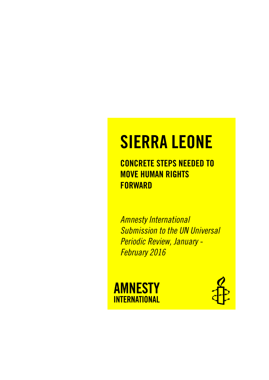# SIERRA LEONE

CONCRETE STEPS NEEDED TO MOVE HUMAN RIGHTS **FORWARD** 

*Amnesty International Submission to the UN Universal Periodic Review, January - February 2016*



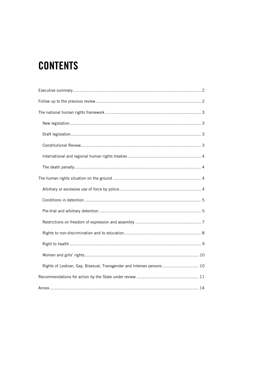# **CONTENTS**

| Rights of Lesbian, Gay, Bisexual, Transgender and Intersex persons  10 |
|------------------------------------------------------------------------|
|                                                                        |
|                                                                        |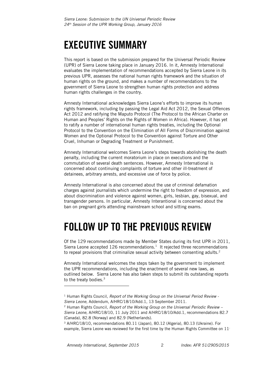# <span id="page-2-0"></span>EXECUTIVE SUMMARY

This report is based on the submission prepared for the Universal Periodic Review (UPR) of Sierra Leone taking place in January 2016. In it, Amnesty International evaluates the implementation of recommendations accepted by Sierra Leone in its previous UPR, assesses the national human rights framework and the situation of human rights on the ground, and makes a number of recommendations to the government of Sierra Leone to strengthen human rights protection and address human rights challenges in the country.

Amnesty International acknowledges Sierra Leone's efforts to improve its human rights framework, including by passing the Legal Aid Act 2012, the Sexual Offences Act 2012 and ratifying the Maputo Protocol (The Protocol to the African Charter on Human and Peoples' Rights on the Rights of Women in Africa). However, it has yet to ratify a number of international human rights treaties, including the Optional Protocol to the Convention on the Elimination of All Forms of Discrimination against Women and the Optional Protocol to the Convention against Torture and Other Cruel, Inhuman or Degrading Treatment or Punishment.

Amnesty International welcomes Sierra Leone's steps towards abolishing the death penalty, including the current moratorium in place on executions and the commutation of several death sentences. However, Amnesty International is concerned about continuing complaints of torture and other ill-treatment of detainees, arbitrary arrests, and excessive use of force by police.

Amnesty International is also concerned about the use of criminal defamation charges against journalists which undermine the right to freedom of expression, and about discrimination and violence against women, girls, lesbian, gay, bisexual, and transgender persons. In particular, Amnesty Interantional is concerned about the ban on pregnant girls attending mainstream school and sitting exams.

# <span id="page-2-1"></span>FOLLOW UP TO THE PREVIOUS REVIEW

Of the 129 recommendations made by Member States during its first UPR in 2011, Sierra Leone accepted  $126$  recommendations.<sup>1</sup> It rejected three recommendations to repeal provisions that criminalize sexual activity between consenting adults.<sup>2</sup>

Amnesty International welcomes the steps taken by the government to implement the UPR recommendations, including the enactment of several new laws, as outlined below. Sierra Leone has also taken steps to submit its outstanding reports to the treaty bodies.<sup>3</sup>

l

<sup>1</sup> Human Rights Council, *Report of the Working Group on the Universal Period Review - Sierra Leone*, Addendum, A/HRC/18/10/Add.1, 13 September 2011.

<sup>2</sup> Human Rights Council, *Report of the Working Group on the Universal Periodic Review – Sierra Leone,* A/HRC/18/10, 11 July 2011 and A/HRC/18/10/Add.1, recommendations 82.7 (Canada), 82.8 (Norway) and 82.9 (Netherlands).

<sup>3</sup> A/HRC/18/10, recommendations 80.11 (Japan), 80.12 (Algeria), 80.13 (Ukraine). For example, Sierra Leone was reviewed for the first time by the Human Rights Committee on 11-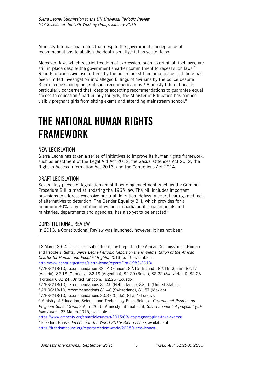Amnesty International notes that despite the government's acceptance of recommendations to abolish the death penalty, $4$  it has yet to do so.

Moreover, laws which restrict freedom of expression, such as criminal libel laws, are still in place despite the government's earlier commitment to repeal such laws.<sup>5</sup> Reports of excessive use of force by the police are still commonplace and there has been limited investigation into alleged killings of civilians by the police despite Sierra Leone's acceptance of such recommendations.<sup>6</sup> Amnesty International is particularly concerned that, despite accepting recommendations to guarantee equal access to education, $<sup>7</sup>$  particularly for girls, the Minister of Education has banned</sup> visibly pregnant girls from sitting exams and attending mainstream school.<sup>8</sup>

# <span id="page-3-0"></span>THE NATIONAL HUMAN RIGHTS FRAMEWORK

### <span id="page-3-1"></span>NEW LEGISLATION

Sierra Leone has taken a series of initiatives to improve its human rights framework, such as enactment of the Legal Aid Act 2012, the Sexual Offences Act 2012, the Right to Access Information Act 2013, and the Corrections Act 2014.

### <span id="page-3-2"></span>DRAFT LEGISLATION

Several key pieces of legislation are still pending enactment, such as the Criminal Procedure Bill, aimed at updating the 1965 law. The bill includes important provisions to address excessive pre-trial detention, delays in court hearings and lack of alternatives to detention. The Gender Equality Bill, which provides for a minimum 30% representation of women in parliament, local councils and ministries, departments and agencies, has also yet to be enacted.<sup>9</sup>

### <span id="page-3-3"></span>CONSTITUTIONAL REVIEW

j

In 2013, a Constitutional Review was launched; however, it has not been

12 March 2014. It has also submitted its first report to the African Commission on Human and People's Rights, *Sierra Leone Periodic Report on the Implementation of the African Charter for Human and Peoples' Rights*, 2013, p. 10 available at <http://www.achpr.org/states/sierra-leone/reports/1st-1983-2013/>

<sup>4</sup> A/HRC/18/10, recommendation 82.14 (France), 82.15 (Ireland), 82.16 (Spain), 82.17 (Austria), 82.18 (Germany), 82.19 (Argentina), 82.20 (Brazil), 82.22 (Switzerland), 82.23 (Portugal), 82.24 (United Kingdom), 82.25 (Ecuador)

<sup>5</sup> A/HRC/18/10, recommendations 81.45 (Netherlands), 82.10 (United States).

<sup>6</sup> A/HRC/18/10, recommendations 81.40 (Switzerland), 81.57 (Mexico).

<sup>7</sup> A/HRC/18/10, recommendations 80.37 (Chile), 81.52 (Turkey).

<sup>8</sup> Ministry of Education, Science and Technology Press Release, *Government Position on Pregnant School Girls*, 2 April 2015. Amnesty International, *Sierra Leone: Let pregnant girls take exams*, 27 March 2015, available at

<https://www.amnesty.org/en/articles/news/2015/03/let-pregnant-girls-take-exams/> <sup>9</sup> Freedom House*, Freedom in the World 2015: Sierra Leone,* available at

[https://freedomhouse.org/report/freedom-world/2015/sierra-leone#.](https://freedomhouse.org/report/freedom-world/2015/sierra-leone)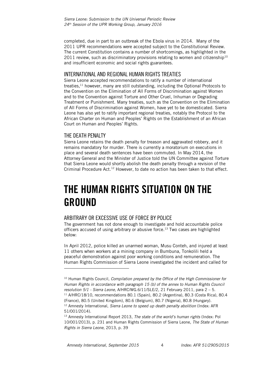completed, due in part to an outbreak of the Ebola virus in 2014. Many of the 2011 UPR recommendations were accepted subject to the Constitutional Review. The current Constitution contains a number of shortcomings, as highlighted in the 2011 review, such as discriminatory provisions relating to women and citizenship<sup>10</sup> and insufficient economic and social rights guarantees.

### <span id="page-4-0"></span>INTERNATIONAL AND REGIONAL HUMAN RIGHTS TREATIES

Sierra Leone accepted recommendations to ratify a number of international treaties,<sup>11</sup> however, many are still outstanding, including the Optional Protocols to the Convention on the Elimination of All Forms of Discrimination against Women and to the Convention against Torture and Other Cruel, Inhuman or Degrading Treatment or Punishment. Many treaties, such as the Convention on the Elimination of All Forms of Discrimination against Women, have yet to be domesticated. Sierra Leone has also yet to ratify important regional treaties, notably the Protocol to the African Charter on Human and Peoples' Rights on the Establishment of an African Court on Human and Peoples' Rights.

### <span id="page-4-1"></span>THE DEATH PENALTY

l

Sierra Leone retains the death penalty for treason and aggravated robbery, and it remains mandatory for murder. There is currently a moratorium on executions in place and several death sentences have been commuted. In May 2014, the Attorney General and the Minister of Justice told the UN Committee against Torture that Sierra Leone would shortly abolish the death penalty through a revision of the Criminal Procedure Act.<sup>12</sup> However, to date no action has been taken to that effect.

# <span id="page-4-2"></span>THE HUMAN RIGHTS SITUATION ON THE GROUND

### <span id="page-4-3"></span>ARBITRARY OR EXCESSIVE USE OF FORCE BY POLICE

The government has not done enough to investigate and hold accountable police officers accused of using arbitrary or abusive force.<sup>13</sup> Two cases are highlighted below:

In April 2012, police killed an unarmed woman, Musu Conteh, and injured at least 11 others when workers at a mining company in Bumbuna, Tonkolili held a peaceful demonstration against poor working conditions and remuneration. The Human Rights Commission of Sierra Leone investigated the incident and called for

<sup>10</sup> Human Rights Council*, Compilation prepared by the Office of the High Commissioner for Human Rights in accordance with paragraph 15 (b) of the annex to Human Rights Council resolution 5/1 - Sierra Leone*, A/HRC/WG.6/11/SLE/2, 21 February 2011, para 2 – 5. <sup>11</sup> A/HRC/18/10, recommendations 80.1 (Spain), 80.2 (Argentina), 80.3 (Costa Rica), 80.4 (France), 80.5 (United Kingdom), 80.6 (Belgium), 80.7 (Nigeria), 80.8 (Hungary). <sup>12</sup> Amnesty International, *Sierra Leone to speed up death penalty abolition* (Index: AFR 51/001/2014).

<sup>13</sup> Amnesty International Report 2013, *The state of the world's human rights* (Index: Pol 10/001/2013), p. 231 and Human Rights Commission of Sierra Leone, *The State of Human Rights in Sierra Leone*, 2013, p. 39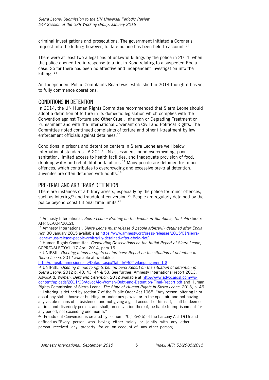criminal investigations and prosecutions. The government initiated a Coroner's Inquest into the killing; however, to date no one has been held to account. <sup>14</sup>

There were at least two allegations of unlawful killings by the police in 2014, when the police opened fire in response to a riot in Kono relating to a suspected Ebola case. So far there has been no effective and independent investigation into the killings.<sup>15</sup>

An Independent Police Complaints Board was established in 2014 though it has yet to fully commence operations.

#### <span id="page-5-0"></span>CONDITIONS IN DETENTION

In 2014, the UN Human Rights Committee recommended that Sierra Leone should adopt a definition of torture in its domestic legislation which complies with the Convention against Torture and Other Cruel, Inhuman or Degrading Treatment or Punishment and with the International Covenant on Civil and Political Rights. The Committee noted continued complaints of torture and other ill-treatment by law enforcement officials against detainees.<sup>16</sup>

Conditions in prisons and detention centers in Sierra Leone are well below international standards. A 2012 UN assessment found overcrowding, poor sanitation, limited access to health facilities, and inadequate provision of food, drinking water and rehabilitation facilities.<sup>17</sup> Many people are detained for minor offences, which contributes to overcrowding and excessive pre-trial detention. Juveniles are often detained with adults.<sup>18</sup>

### <span id="page-5-1"></span>PRE-TRIAL AND ARBITRARY DETENTION

j

There are instances of arbitrary arrests, especially by the police for minor offences, such as loitering<sup>19</sup> and fraudulent conversion.<sup>20</sup> People are regularly detained by the police beyond constitutional time limits.<sup>21</sup>

<sup>18</sup> UNIPSIL, *Opening minds to rights behind bars: Report on the situation of detention in Sierra Leone*, 2012 p. 40, 43, 44 & 53. See further, Amnesty International report 2013, AdvocAid, *Women, Debt and Detention,* 2012 available at [http://www.advocaidsl.com/wp](http://www.advocaidsl.com/wp-content/uploads/2011/03/AdvocAid-Women-Debt-and-Detention-Final-Report.pdf)[content/uploads/2011/03/AdvocAid-Women-Debt-and-Detention-Final-Report.pdf](http://www.advocaidsl.com/wp-content/uploads/2011/03/AdvocAid-Women-Debt-and-Detention-Final-Report.pdf) and Human

<sup>&</sup>lt;sup>14</sup> Amnesty International, *Sierra Leone: Briefing on the Events in Bumbuna, Tonkolili* (Index: AFR 51/004/2012).

<sup>15</sup> Amnesty International, *Sierra Leone must release 8 people arbitrarily detained after Ebola riot*, 30 January 2015 available at [https://www.amnesty.org/press-releases/2015/01/sierra](https://www.amnesty.org/press-releases/2015/01/sierra-leone-must-release-people-arbitrarily-detained-after-ebola-riot/)[leone-must-release-people-arbitrarily-detained-after-ebola-riot/.](https://www.amnesty.org/press-releases/2015/01/sierra-leone-must-release-people-arbitrarily-detained-after-ebola-riot/)

<sup>16</sup> Human Rights Committee*, Concluding Observations on the Initial Report of Sierra Leone,* CCPR/C/SLE/CO/1, 17 April 2014, para 16.

<sup>17</sup> UNIPSIL, *Opening minds to rights behind bars: Report on the situation of detention in Sierra Leone*, 2012 available at available at

<http://unipsil.unmissions.org/Default.aspx?tabid=9621&language=en-US>

Rights Commission of Sierra Leone, *The State of Human Rights in Sierra Leone*, 2013, p. 46 <sup>19</sup> Loitering is defined by section 7 of the Public Order Act 1965, "Any person loitering in or about any stable house or building, or under any piazza, or in the open air, and not having any visible means of subsistence, and not giving a good account of himself, shall be deemed an idle and disorderly person, and shall, on conviction thereof, be liable to imprisonment for any period, not exceeding one month."

<sup>&</sup>lt;sup>20</sup> Fraudulent Conversion is created by section  $20(1)(iv)(b)$  of the Larceny Act 1916 and defined as "Every person who having either solely or jointly with any other person received any property for or on account of any other person;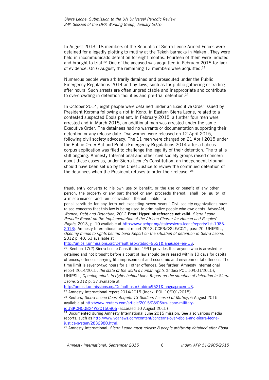In August 2013, 18 members of the Republic of Sierra Leone Armed Forces were detained for allegedly plotting to mutiny at the Tekoh barracks in Makeni. They were held in incommunicado detention for eight months. Fourteen of them were indicted and brought to trial.<sup>22</sup> One of the accused was acquitted in February 2015 for lack of evidence. On 6 August, the remaining 13 members were acquitted.<sup>23</sup>

Numerous people were arbitrarily detained and prosecuted under the Public Emergency Regulations 2014 and by-laws, such as for public gathering or trading after hours. Such arrests are often unpredictable and inappropriate and contribute to overcrowding in detention facilities and pre-trial detention.<sup>24</sup>

In October 2014, eight people were detained under an Executive Order issued by President Koroma following a riot in Kono, in Eastern Sierra Leone, related to a contested suspected Ebola patient. In February 2015, a further four men were arrested and in March 2015, an additional man was arrested under the same Executive Order. The detainees had no warrants or documentation supporting their detention or any release date. Two women were released on 12 April 2015, following civil society advocacy. The 11 men were charged on 21 April 2015 under the Public Order Act and Public Emergency Regulations 2014 after a habeas corpus application was filed to challenge the legality of their detention. The trial is still ongoing. Amnesty International and other civil society groups raised concern about these cases as, under Sierra Leone's Constitution, an independent tribunal should have been set up by the Chief Justice to review the continued detention of the detainees when the President refuses to order their release. <sup>25</sup>

fraudulently converts to his own use or benefit, or the use or benefit of any other person, the property or any part thereof or any proceeds thereof; shall be guilty of a misdemeanor and on conviction thereof liable to

penal servitude for any term not exceeding seven years." Civil society organizations have raised concerns that this law is being used to criminalize people who owe debts. AdvocAid, *Women, Debt and Detention,* 2012.Error! Hyperlink reference not valid. *Sierra Leone Periodic Report on the Implementation of the African Charter for Human and Peoples' Rights*, 2013, p. 10 available at [http://www.achpr.org/states/sierra-leone/reports/1st-1983-](http://www.achpr.org/states/sierra-leone/reports/1st-1983-2013/) [2013/.](http://www.achpr.org/states/sierra-leone/reports/1st-1983-2013/) Amnesty International annual report 2013*,* CCPR/C/SLE/CO/1, para 20. UNIPSIL, *Opening minds to rights behind bars: Report on the situation of detention in Sierra Leone*, 2012 p. 40, 53 available at

[http://unipsil.unmissions.org/Default.aspx?tabid=9621&language=en-US.](http://unipsil.unmissions.org/Default.aspx?tabid=9621&language=en-US)

<sup>21</sup> Section 17(2) Sierra Leone Constitution 1991 provides that anyone who is arrested or detained and not brought before a court of law should be released within 10 days for capital offences, offences carrying life imprisonment and economic and environmental offences. The time limit is seventy-two hours for all other offences. See further, Amnesty International report 2014/2015, *the state of the world's human rights* (Index: POL 10/001/2015), UNIPSIL, *Opening minds to rights behind bars: Report on the situation of detention in Sierra Leone*, 2012 p. 37 available at

[http://unipsil.unmissions.org/Default.aspx?tabid=9621&language=en-US.](http://unipsil.unmissions.org/Default.aspx?tabid=9621&language=en-US)

<sup>22</sup> Amnesty International report 2014/2015 (Index: POL 10/001/2015).

<sup>23</sup> Reuters, *Sierra Leone Court Acquits 13 Soldiers Accused of Mutiny*, 6 August 2015, available at [http://www.reuters.com/article/2015/08/06/us-leone-military-](http://www.reuters.com/article/2015/08/06/us-leone-military-idUSKCN0QB24W20150806)

[idUSKCN0QB24W20150806](http://www.reuters.com/article/2015/08/06/us-leone-military-idUSKCN0QB24W20150806) (accessed 10 August 2015) <sup>24</sup> Documented during Amnesty International June 2015 mission. See also various media

reports, such a[s http://www.voanews.com/content/concerns-over-ebola-and-sierra-leone](http://www.voanews.com/content/concerns-over-ebola-and-sierra-leone-justice-system/2832980.html)[justice-system/2832980.html.](http://www.voanews.com/content/concerns-over-ebola-and-sierra-leone-justice-system/2832980.html)

<sup>25</sup> Amnesty International, *Sierra Leone must release 8 people arbitrarily detained after Ebola* 

*Amnesty International, September 2015* 6 *Index: AFR 51/2905/2015* 

j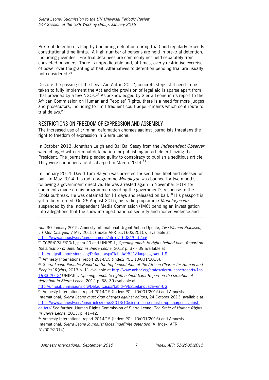Pre-trial detention is lengthy (including detention during trial) and regularly exceeds constitutional time limits. A high number of persons are held in pre-trial detention, including juveniles. Pre-trial detainees are commonly not held separately from convicted prisoners. There is unpredictable and, at times, overly restrictive exercise of power over the granting of bail. Alternatives to detention pending trial are usually not considered.<sup>26</sup>

Despite the passing of the Legal Aid Act in 2012, concrete steps still need to be taken to fully implement the Act and the provision of legal aid is sparse apart from that provided by a few NGOs.<sup>27</sup> As acknowledged by Sierra Leone in its report to the African Commission on Human and Peoples' Rights, there is a need for more judges and prosecutors, including to limit frequent court adjournments which contribute to trial delays.<sup>28</sup>

#### <span id="page-7-0"></span>RESTRICTIONS ON FREEDOM OF EXPRESSION AND ASSEMBLY

The increased use of criminal defamation charges against journalists threatens the right to freedom of expression in Sierra Leone.

In October 2013, Jonathan Leigh and Bai Bai Sesay from the *Independent Observer* were charged with criminal defamation for publishing an article criticizing the President. The journalists pleaded guilty to conspiracy to publish a seditious article. They were cautioned and discharged in March 2014.<sup>29</sup>

In January 2014, David Tam Baryoh was arrested for seditious libel and released on bail. In May 2014, his radio programme *Monologue* was banned for two months following a government directive. He was arrested again in November 2014 for comments made on his programme regarding the government's response to the Ebola outbreak. He was detained for 11 days and released on bail.<sup>30</sup> His passport is yet to be returned. On 26 August 2015, his radio programme *Monologue* was suspended by the Independent Media Commission (IMC) pending an investigation into allegations that the show infringed national security and incited violence and

<sup>28</sup> *Sierra Leone Periodic Report on the Implementation of the African Charter for Human and Peoples' Rights*, 2013 p. 11 available at [http://www.achpr.org/states/sierra-leone/reports/1st-](http://www.achpr.org/states/sierra-leone/reports/1st-1983-2013/)[1983-2013/](http://www.achpr.org/states/sierra-leone/reports/1st-1983-2013/) UNIPSIL, *Opening minds to rights behind bars: Report on the situation of detention in Sierra Leone*, 2012 p. 38, 39 available at

[http://unipsil.unmissions.org/Default.aspx?tabid=9621&language=en-US.](http://unipsil.unmissions.org/Default.aspx?tabid=9621&language=en-US)

<sup>29</sup> Amnesty International report 2014/15 (Index: POL 10/001/2015) and Amnesty International, *Sierra Leone must drop charges against editors*, 24 October 2013, available at [https://www.amnesty.org/en/articles/news/2013/10/sierra-leone-must-drop-charges-against](https://www.amnesty.org/en/articles/news/2013/10/sierra-leone-must-drop-charges-against-editors/)[editors/](https://www.amnesty.org/en/articles/news/2013/10/sierra-leone-must-drop-charges-against-editors/) See further, Human Rights Commission of Sierra Leone, *The State of Human Rights in Sierra Leone*, 2013, p. 41–42.

<sup>30</sup> Amnesty International report 2014/15 (Index: POL 10/001/2015) and Amnesty International, *Sierra Leone journalist faces indefinite detention* (AI Index: AFR 51/002/2014).

ł

*riot*, 30 January 2015. Amnesty International Urgent Action Update, *Two Women Released, 11 Men Charged*, 7 May 2015, (Index: AFR 51/1603/2015), available at <https://www.amnesty.org/en/documents/afr51/1603/2015/en/>

<sup>26</sup> CCPR/C/SLE/CO/1, para 20 and UNIPSIL, *Opening minds to rights behind bars: Report on the situation of detention in Sierra Leone*, 2012 p. 37 - 39 available at

[http://unipsil.unmissions.org/Default.aspx?tabid=9621&language=en-US.](http://unipsil.unmissions.org/Default.aspx?tabid=9621&language=en-US)

<sup>27</sup> Amnesty International report 2014/15 (Index: POL 10/001/2015).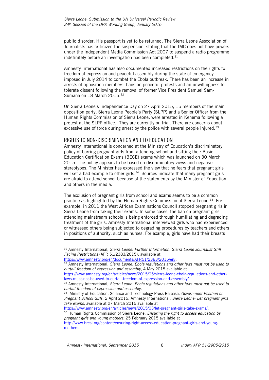public disorder. His passport is yet to be returned. The Sierra Leone Association of Journalists has criticized the suspension, stating that the IMC does not have powers under the Independent Media Commission Act 2007 to suspend a radio programme indefinitely before an investigation has been completed. $31$ 

Amnesty International has also documented increased restrictions on the rights to freedom of expression and peaceful assembly during the state of emergency imposed in July 2014 to combat the Ebola outbreak. There has been an increase in arrests of opposition members, bans on peaceful protests and an unwillingness to tolerate dissent following the removal of former Vice President Samuel Sam-Sumana on 18 March 2015.<sup>32</sup>

On Sierra Leone's Independence Day on 27 April 2015, 15 members of the main opposition party, Sierra Leone People's Party (SLPP) and a Senior Officer from the Human Rights Commission of Sierra Leone, were arrested in Kenema following a protest at the SLPP office. They are currently on trial. There are concerns about excessive use of force during arrest by the police with several people injured.<sup>33</sup>

#### <span id="page-8-0"></span>RIGHTS TO NON-DISCRIMINATION AND TO EDUCATION

Amnesty International is concerned at the Ministry of Education's discriminatory policy of barring pregnant girls from attending school and sitting their Basic Education Certification Exams (BECE) exams which was launched on 30 March 2015. The policy appears to be based on discriminatory views and negative stereotypes. The Minister has expressed the view that he fears that pregnant girls will set a bad example to other girls. $34$  Sources indicate that many pregnant girls are afraid to attend school because of the statements by the Minister of Education and others in the media.

The exclusion of pregnant girls from school and exams seems to be a common practice as highlighted by the Human Rights Commission of Sierra Leone.<sup>35</sup> For example, in 2011 the West African Examinations Council stopped pregnant girls in Sierra Leone from taking their exams. In some cases, the ban on pregnant girls attending mainstream schools is being enforced through humiliating and degrading treatment of the girls. Amnesty International interviewed girls who had experienced or witnessed others being subjected to degrading procedures by teachers and others in positions of authority, such as nurses. For example, girls have had their breasts

[https://www.amnesty.org/en/articles/news/2015/03/let-pregnant-girls-take-exams/.](https://www.amnesty.org/en/articles/news/2015/03/let-pregnant-girls-take-exams/) <sup>35</sup> Human Rights Commission of Sierra Leone, *Ensuring the right to access education by* 

j

<sup>31</sup> Amnesty International, *Sierra Leone: Further Information: Sierra Leone Journalist Still Facing Restrictions* (AFR 51/2383/2015), available at

[https://www.amnesty.org/en/documents/AFR51/2383/2015/en/.](https://www.amnesty.org/en/documents/AFR51/2383/2015/en/)

<sup>32</sup> Amnesty International, *Sierra Leone: Ebola regulations and other laws must not be used to curtail freedom of expression and assembly*, 4 May 2015 available at

[https://www.amnesty.org/en/articles/news/2015/05/sierra-leone-ebola-regulations-and-other](https://www.amnesty.org/en/articles/news/2015/05/sierra-leone-ebola-regulations-and-other-laws-must-not-be-used-to-curtail-freedom-of-expression-and-assembly/)[laws-must-not-be-used-to-curtail-freedom-of-expression-and-assembly/.](https://www.amnesty.org/en/articles/news/2015/05/sierra-leone-ebola-regulations-and-other-laws-must-not-be-used-to-curtail-freedom-of-expression-and-assembly/)

<sup>33</sup> Amnesty International, *Sierra Leone: Ebola regulations and other laws must not be used to curtail freedom of expression and assembly.*

<sup>34</sup> Ministry of Education, Science and Technology Press Release, *Government Position on Pregnant School Girls*, 2 April 2015. Amnesty International, *Sierra Leone: Let pregnant girls take exams*, available at 27 March 2015 available at

*pregnant girls and young mothers*, 25 February 2015 available at [http://www.hrcsl.org/content/ensuring-right-access-education-pregnant-girls-and-young](http://www.hrcsl.org/content/ensuring-right-access-education-pregnant-girls-and-young-mothers)[mothers.](http://www.hrcsl.org/content/ensuring-right-access-education-pregnant-girls-and-young-mothers)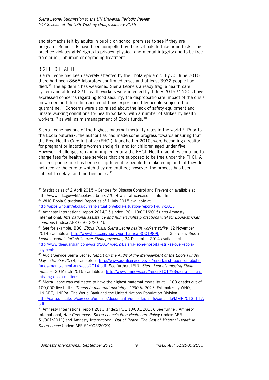and stomachs felt by adults in public on school premises to see if they are pregnant. Some girls have been compelled by their schools to take urine tests. This practice violates girls' rights to privacy, physical and mental integrity and to be free from cruel, inhuman or degrading treatment.

### <span id="page-9-0"></span>RIGHT TO HEALTH

ł

Sierra Leone has been severely affected by the Ebola epidemic. By 30 June 2015 there had been 8665 laboratory confirmed cases and at least 3932 people had died.<sup>36</sup> The epidemic has weakened Sierra Leone's already fragile health care system and at least 221 health workers were infected by  $1$  July 2015.<sup>37</sup> NGOs have expressed concerns regarding food security, the disproportionate impact of the crisis on women and the inhumane conditions experienced by people subjected to quarantine.<sup>38</sup> Concerns were also raised about the lack of safety equipment and unsafe working conditions for health workers, with a number of strikes by health workers,<sup>39</sup> as well as mismanagement of Ebola funds.<sup>40</sup>

Sierra Leone has one of the highest maternal mortality rates in the world.<sup>41</sup> Prior to the Ebola outbreak, the authorities had made some progress towards ensuring that the Free Health Care Initiative (FHCI), launched in 2010, were becoming a reality for pregnant or lactating women and girls, and for children aged under five. However, challenges remain in implementing the FHCI. Health facilities continue to charge fees for health care services that are supposed to be free under the FHCI. A toll-free phone line has been set up to enable people to make complaints if they do not receive the care to which they are entitled; however, the process has been subject to delays and inefficiencies.<sup>42</sup>

 $36$  Statistics as of 2 April 2015 – Centres for Disease Control and Prevention available at http://www.cdc.gov/vhf/ebola/outbreaks/2014-west-africa/case-counts.html

<http://apps.who.int/ebola/current-situation/ebola-situation-report-1-july-2015> <sup>38</sup> Amnesty International report 2014/15 (Index: POL 10/001/2015) *and* Amnesty

International, *International assistance and human rights protections vital for Ebola-stricken countries* (Index: AFR 01/013/2014).

<sup>39</sup> See for example, BBC, *Ebola Crisis: Sierra Leone health workers strike*, 12 November 2014 available at [http://www.bbc.com/news/world-africa-30019895.](http://www.bbc.com/news/world-africa-30019895) The Guardian, *Sierra Leone hospital staff strike over Ebola payments*, 24 December 2014 available at [http://www.theguardian.com/world/2014/dec/24/sierra-leone-hospital-strikes-over-ebola](http://www.theguardian.com/world/2014/dec/24/sierra-leone-hospital-strikes-over-ebola-payments)[payments.](http://www.theguardian.com/world/2014/dec/24/sierra-leone-hospital-strikes-over-ebola-payments)

<sup>40</sup> Audit Service Sierra Leone, *Report on the Audit of the Management of the Ebola Funds: May – October 2014*, available at [http://www.auditservice.gov.sl/report/assl-report-on-ebola](http://www.auditservice.gov.sl/report/assl-report-on-ebola-funds-management-may-oct-2014.pdf)[funds-management-may-oct-2014.pdf.](http://www.auditservice.gov.sl/report/assl-report-on-ebola-funds-management-may-oct-2014.pdf) See further, IRIN, *Sierra Leone's missing Ebola millions*, 30 March 2015 available at [http://www.irinnews.org//report/101293/sierra-leone-s](http://www.irinnews.org/report/101293/sierra-leone-s-missing-ebola-millions)[missing-ebola-millions.](http://www.irinnews.org/report/101293/sierra-leone-s-missing-ebola-millions)

<sup>41</sup> Sierra Leone was estimated to have the highest maternal mortality at 1,100 deaths out of 100,000 live births. *Trends in maternal mortality: 1990 to 2013*. Estimates by WHO, UNICEF, UNFPA, The World Bank and the United Nations Population Division [http://data.unicef.org/corecode/uploads/document6/uploaded\\_pdfs/corecode/MMR2013\\_117.](http://data.unicef.org/corecode/uploads/document6/uploaded_pdfs/corecode/MMR2013_117.pdf) [pdf.](http://data.unicef.org/corecode/uploads/document6/uploaded_pdfs/corecode/MMR2013_117.pdf)

<sup>&</sup>lt;sup>37</sup> WHO Ebola Situational Report as of 1 July 2015 available at

<sup>42</sup> Amnesty International report 2013 (Index: POL 10/001/2013). See further, Amnesty International, *[At a Crossroads: Sierra Leone's Free Healthcare Policy](https://www.amnestyusa.org/sites/default/files/pdfs/sierral_maternaltrpt_0.pdf)* (Index: AFR 51/001/2011) and Amnesty International, *Out of Reach: The Cost of Maternal Health in Sierra Leone* (Index: AFR 51/005/2009).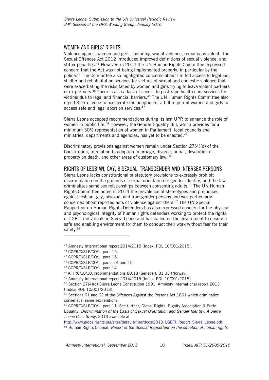#### <span id="page-10-0"></span>WOMEN AND GIRLS' RIGHTS

Violence against women and girls, including sexual violence, remains prevalent. The Sexual Offences Act 2012 introduced improved definitions of sexual violence, and stiffer penalties.<sup>43</sup> However, in 2014 the UN Human Rights Committee expressed concern that the Act was not being implemented properly, in particular by the police.<sup>44</sup> The Committee also highlighted concerns about limited access to legal aid, shelter and rehabilitation services for victims of sexual and domestic violence that were exacerbating the risks faced by women and girls trying to leave violent partners or ex-partners.<sup>45</sup> There is also a lack of access to post-rape health care services for victims due to legal and financial barriers.<sup>46</sup> The UN Human Rights Committee also urged Sierra Leone to accelerate the adoption of a bill to permit women and girls to access safe and legal abortion services.<sup>47</sup>

Sierra Leone accepted recommendations during its last UPR to enhance the role of women in public life.<sup>48</sup> However, the Gender Equality Bill, which provides for a minimum 30% representation of women in Parliament, local councils and ministries, departments and agencies, has yet to be enacted.<sup>49</sup>

Discriminatory provisions against women remain under Section 27(4)(d) of the Constitution, in relation to adoption, marriage, divorce, burial, devolution of property on death, and other areas of customary law.<sup>50</sup>

#### <span id="page-10-1"></span>RIGHTS OF LESBIAN, GAY, BISEXUAL, TRANSGENDER AND INTERSEX PERSONS

Sierra Leone lacks constitutional or statutory provisions to expressly prohibit discrimination on the grounds of sexual orientation or gender identity, and the law criminalizes same sex relationships between consenting adults.<sup>51</sup> The UN Human Rights Committee noted in 2014 the prevalence of stereotypes and prejudices against lesbian, gay, bisexual and transgender persons and was particularly concerned about reported acts of violence against them. <sup>52</sup> The UN Special Rapporteur on Human Rights Defenders has also expressed concern for the physical and psychological integrity of human rights defenders working to protect the rights of LGBTI individuals in Sierra Leone and has called on the government to ensure a safe and enabling environment for them to conduct their work without fear for their safety. 53

j

[http://www.globalrights.org/sites/default/files/docs/2013\\_LGBTI\\_Report\\_Sierra\\_Leone.pdf.](http://www.globalrights.org/sites/default/files/docs/2013_LGBTI_Report_Sierra_Leone.pdf)

<sup>43</sup> Amnesty International report 2014/2015 (Index: POL 10/001/2015).

<sup>44</sup> CCPR/C/SLE/CO/1, para 15.

<sup>45</sup> CCPR/C/SLE/CO/1, para 15.

<sup>46</sup> CCPR/C/SLE/CO/1, paras 14 and 15.

<sup>47</sup> CCPR/C/SLE/CO/1, para 14.

<sup>48</sup> A/HRC/18/10, recommendations 80.18 (Senegal), 81.33 (Norway).

<sup>49</sup> Amnesty International report 2014/2015 (Index: POL 10/001/2015).

<sup>50</sup> Section 27(4)(d) Sierra Leone Constitution 1991. Amnesty International report 2013 (Index: POL 10/001/2013).

<sup>51</sup> Sections 61 and 62 of the Offences Against the Persons Act 1861 which criminalize consensual same sex relations.

<sup>52</sup> CCPR/C/SLE/CO/1, para 11. See further, Global Rights, Dignity Association & Pride Equality, *Discrimination of the Basis of Sexual Orientation and Gender Identity: A Sierra Leone Case Study,* 2013 available at

<sup>53</sup> Human Rights Council, *Report of the Special Rapporteur on the situation of human rights*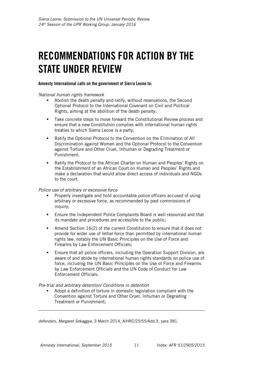# <span id="page-11-0"></span>RECOMMENDATIONS FOR ACTION BY THE STATE UNDER REVIEW

#### Amnesty International calls on the government of Sierra Leone to:

*National human rights framework*

- Abolish the death penalty and ratify, without reservations, the Second Optional Protocol to the International Covenant on Civil and Political Rights, aiming at the abolition of the death penalty;
- Take concrete steps to move forward the Constitutional Review process and ensure that a new Constitution complies with international human rights treaties to which Sierra Leone is a party;
- Ratify the Optional Protocol to the Convention on the Elimination of All Discrimination against Women and the Optional Protocol to the Convention against Torture and Other Cruel, Inhuman or Degrading Treatment or Punishment;
- Ratify the Protocol to the African Charter on Human and Peoples' Rights on the Establishment of an African Court on Human and Peoples' Rights and make a declaration that would allow direct access of individuals and NGOs to the court.

*Police use of arbitrary or excessive force*

- Properly investigate and hold accountable police officers accused of using arbitrary or excessive force, as recommended by past commissions of inquiry;
- Ensure the Independent Police Complaints Board is well resourced and that its mandate and procedures are accessible to the public;
- Amend Section 16(2) of the current Constitution to ensure that it does not provide for wider use of lethal force than permitted by international human rights law, notably the UN Basic Principles on the Use of Force and Firearms by Law Enforcement Officials;
- Ensure that all police officers, including the Operation Support Division, are aware of and abide by international human rights standards on police use of force, including the UN Basic Principles on the Use of Force and Firearms by Law Enforcement Officials and the UN Code of Conduct for Law Enforcement Officials.

*Pre-trial and arbitrary detention/ Conditions in detention*

 Adopt a definition of torture in domestic legislation compliant with the Convention against Torture and Other Cruel, Inhuman or Degrading Treatment or Punishment;

*defenders, Margaret Sekaggya*, 3 March 2014, A/HRC/25/55/Add.3, para 381.

ł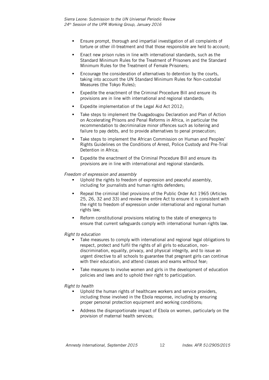- Ensure prompt, thorough and impartial investigation of all complaints of torture or other ill-treatment and that those responsible are held to account;
- Enact new prison rules in line with international standards, such as the Standard Minimum Rules for the Treatment of Prisoners and the Standard Minimum Rules for the Treatment of Female Prisoners;
- Encourage the consideration of alternatives to detention by the courts, taking into account the UN Standard Minimum Rules for Non-custodial Measures (the Tokyo Rules);
- Expedite the enactment of the Criminal Procedure Bill and ensure its provisions are in line with international and regional standards;
- Expedite implementation of the Legal Aid Act 2012;
- **Take steps to implement the Ouagadougou Declaration and Plan of Action** on Accelerating Prisons and Penal Reforms in Africa, in particular the recommendation to decriminalize minor offences such as loitering and failure to pay debts, and to provide alternatives to penal prosecution;
- Take steps to implement the African Commission on Human and Peoples' Rights Guidelines on the Conditions of Arrest, Police Custody and Pre-Trial Detention in Africa;
- Expedite the enactment of the Criminal Procedure Bill and ensure its provisions are in line with international and regional standards.

#### *Freedom of expression and assembly*

- Uphold the rights to freedom of expression and peaceful assembly, including for journalists and human rights defenders;
- Repeal the criminal libel provisions of the Public Order Act 1965 (Articles 25, 26, 32 and 33) and review the entire Act to ensure it is consistent with the right to freedom of expression under international and regional human rights law;
- Reform constitutional provisions relating to the state of emergency to ensure that current safeguards comply with international human rights law.

#### *Right to education*

- Take measures to comply with international and regional legal obligations to respect, protect and fulfil the rights of all girls to education, nondiscrimination, equality, privacy, and physical integrity, and to issue an urgent directive to all schools to guarantee that pregnant girls can continue with their education, and attend classes and exams without fear;
- Take measures to involve women and girls in the development of education policies and laws and to uphold their right to participation.

#### *Right to health*

- Uphold the human rights of healthcare workers and service providers, including those involved in the Ebola response, including by ensuring proper personal protection equipment and working conditions;
- Address the disproportionate impact of Ebola on women, particularly on the provision of maternal health services;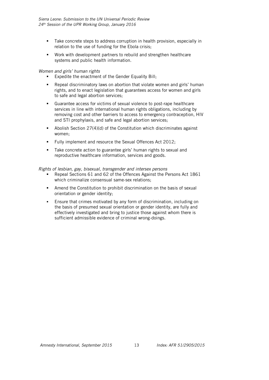- Take concrete steps to address corruption in health provision, especially in relation to the use of funding for the Ebola crisis;
- Work with development partners to rebuild and strengthen healthcare systems and public health information.

#### *Women and girls' human rights*

- Expedite the enactment of the Gender Equality Bill;
- Repeal discriminatory laws on abortion that violate women and girls' human rights, and to enact legislation that guarantees access for women and girls to safe and legal abortion services;
- Guarantee access for victims of sexual violence to post-rape healthcare services in line with international human rights obligations, including by removing cost and other barriers to access to emergency contraception, HIV and STI prophylaxis, and safe and legal abortion services;
- Abolish Section 27(4)(d) of the Constitution which discriminates against women;
- Fully implement and resource the Sexual Offences Act 2012;
- Take concrete action to guarantee girls' human rights to sexual and reproductive healthcare information, services and goods.

#### *Rights of lesbian, gay, bisexual, transgender and intersex persons*

- Repeal Sections 61 and 62 of the Offences Against the Persons Act 1861 which criminalize consensual same-sex relations;
- Amend the Constitution to prohibit discrimination on the basis of sexual orientation or gender identity;
- Ensure that crimes motivated by any form of discrimination, including on the basis of presumed sexual orientation or gender identity, are fully and effectively investigated and bring to justice those against whom there is sufficient admissible evidence of criminal wrong-doings.